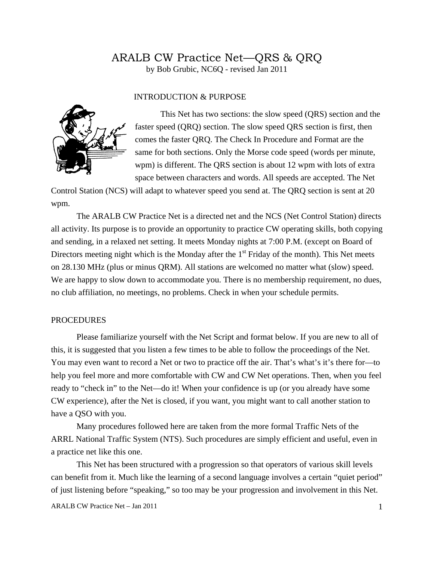# ARALB CW Practice Net—QRS & QRQ

by Bob Grubic, NC6Q - revised Jan 2011

### INTRODUCTION & PURPOSE



This Net has two sections: the slow speed (QRS) section and the faster speed (QRQ) section. The slow speed QRS section is first, then comes the faster QRQ. The Check In Procedure and Format are the same for both sections. Only the Morse code speed (words per minute, wpm) is different. The QRS section is about 12 wpm with lots of extra space between characters and words. All speeds are accepted. The Net

Control Station (NCS) will adapt to whatever speed you send at. The QRQ section is sent at 20 wpm.

The ARALB CW Practice Net is a directed net and the NCS (Net Control Station) directs all activity. Its purpose is to provide an opportunity to practice CW operating skills, both copying and sending, in a relaxed net setting. It meets Monday nights at 7:00 P.M. (except on Board of Directors meeting night which is the Monday after the  $1<sup>st</sup>$  Friday of the month). This Net meets on 28.130 MHz (plus or minus QRM). All stations are welcomed no matter what (slow) speed. We are happy to slow down to accommodate you. There is no membership requirement, no dues, no club affiliation, no meetings, no problems. Check in when your schedule permits.

#### PROCEDURES

Please familiarize yourself with the Net Script and format below. If you are new to all of this, it is suggested that you listen a few times to be able to follow the proceedings of the Net. You may even want to record a Net or two to practice off the air. That's what's it's there for—to help you feel more and more comfortable with CW and CW Net operations. Then, when you feel ready to "check in" to the Net—do it! When your confidence is up (or you already have some CW experience), after the Net is closed, if you want, you might want to call another station to have a QSO with you.

Many procedures followed here are taken from the more formal Traffic Nets of the ARRL National Traffic System (NTS). Such procedures are simply efficient and useful, even in a practice net like this one.

This Net has been structured with a progression so that operators of various skill levels can benefit from it. Much like the learning of a second language involves a certain "quiet period" of just listening before "speaking," so too may be your progression and involvement in this Net.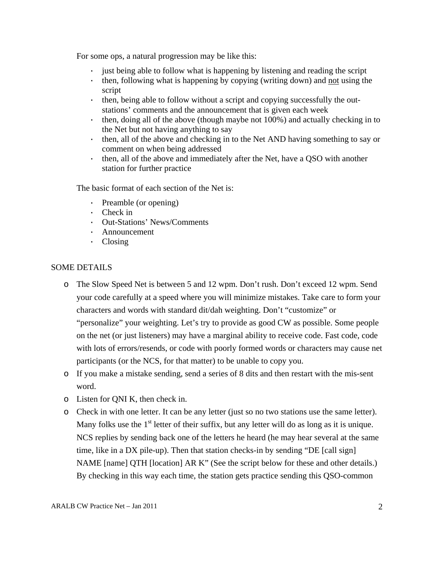For some ops, a natural progression may be like this:

- · just being able to follow what is happening by listening and reading the script
- · then, following what is happening by copying (writing down) and not using the script
- · then, being able to follow without a script and copying successfully the outstations' comments and the announcement that is given each week
- · then, doing all of the above (though maybe not 100%) and actually checking in to the Net but not having anything to say
- · then, all of the above and checking in to the Net AND having something to say or comment on when being addressed
- · then, all of the above and immediately after the Net, have a QSO with another station for further practice

The basic format of each section of the Net is:

- · Preamble (or opening)
- · Check in
- · Out-Stations' News/Comments
- · Announcement
- · Closing

## SOME DETAILS

- o The Slow Speed Net is between 5 and 12 wpm. Don't rush. Don't exceed 12 wpm. Send your code carefully at a speed where you will minimize mistakes. Take care to form your characters and words with standard dit/dah weighting. Don't "customize" or "personalize" your weighting. Let's try to provide as good CW as possible. Some people on the net (or just listeners) may have a marginal ability to receive code. Fast code, code with lots of errors/resends, or code with poorly formed words or characters may cause net participants (or the NCS, for that matter) to be unable to copy you.
- o If you make a mistake sending, send a series of 8 dits and then restart with the mis-sent word.
- o Listen for QNI K, then check in.
- o Check in with one letter. It can be any letter (just so no two stations use the same letter). Many folks use the  $1<sup>st</sup>$  letter of their suffix, but any letter will do as long as it is unique. NCS replies by sending back one of the letters he heard (he may hear several at the same time, like in a DX pile-up). Then that station checks-in by sending "DE [call sign] NAME [name] QTH [location] AR K" (See the script below for these and other details.) By checking in this way each time, the station gets practice sending this QSO-common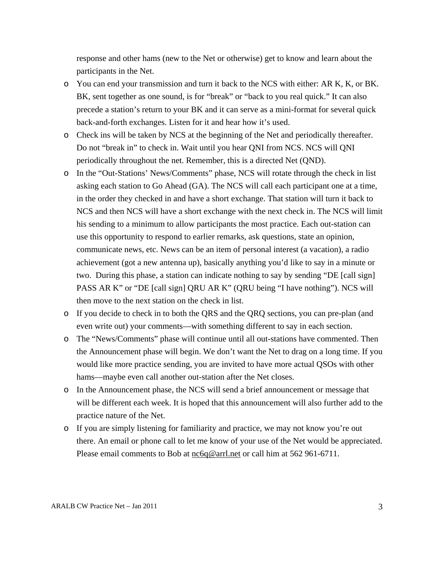response and other hams (new to the Net or otherwise) get to know and learn about the participants in the Net.

- o You can end your transmission and turn it back to the NCS with either: AR K, K, or BK. BK, sent together as one sound, is for "break" or "back to you real quick." It can also precede a station's return to your BK and it can serve as a mini-format for several quick back-and-forth exchanges. Listen for it and hear how it's used.
- o Check ins will be taken by NCS at the beginning of the Net and periodically thereafter. Do not "break in" to check in. Wait until you hear QNI from NCS. NCS will QNI periodically throughout the net. Remember, this is a directed Net (QND).
- o In the "Out-Stations' News/Comments" phase, NCS will rotate through the check in list asking each station to Go Ahead (GA). The NCS will call each participant one at a time, in the order they checked in and have a short exchange. That station will turn it back to NCS and then NCS will have a short exchange with the next check in. The NCS will limit his sending to a minimum to allow participants the most practice. Each out-station can use this opportunity to respond to earlier remarks, ask questions, state an opinion, communicate news, etc. News can be an item of personal interest (a vacation), a radio achievement (got a new antenna up), basically anything you'd like to say in a minute or two. During this phase, a station can indicate nothing to say by sending "DE [call sign] PASS AR K" or "DE [call sign] QRU AR K" (QRU being "I have nothing"). NCS will then move to the next station on the check in list.
- o If you decide to check in to both the QRS and the QRQ sections, you can pre-plan (and even write out) your comments—with something different to say in each section.
- o The "News/Comments" phase will continue until all out-stations have commented. Then the Announcement phase will begin. We don't want the Net to drag on a long time. If you would like more practice sending, you are invited to have more actual QSOs with other hams—maybe even call another out-station after the Net closes.
- o In the Announcement phase, the NCS will send a brief announcement or message that will be different each week. It is hoped that this announcement will also further add to the practice nature of the Net.
- o If you are simply listening for familiarity and practice, we may not know you're out there. An email or phone call to let me know of your use of the Net would be appreciated. Please email comments to Bob at nc6q@arrl.net or call him at 562 961-6711.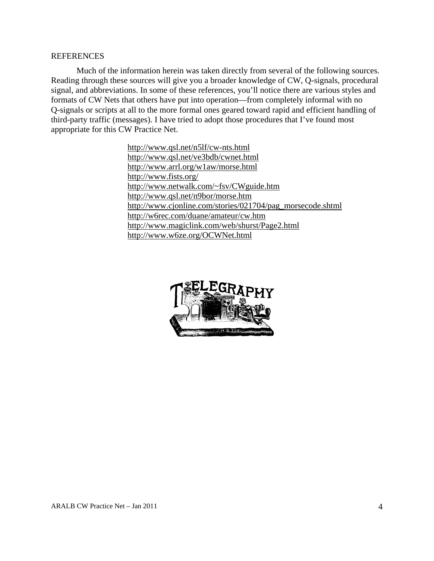#### REFERENCES

Much of the information herein was taken directly from several of the following sources. Reading through these sources will give you a broader knowledge of CW, Q-signals, procedural signal, and abbreviations. In some of these references, you'll notice there are various styles and formats of CW Nets that others have put into operation—from completely informal with no Q-signals or scripts at all to the more formal ones geared toward rapid and efficient handling of third-party traffic (messages). I have tried to adopt those procedures that I've found most appropriate for this CW Practice Net.

> http://www.qsl.net/n5lf/cw-nts.html http://www.qsl.net/ve3bdb/cwnet.html http://www.arrl.org/w1aw/morse.html http://www.fists.org/ http://www.netwalk.com/~fsv/CWguide.htm http://www.qsl.net/n9bor/morse.htm http://www.cjonline.com/stories/021704/pag\_morsecode.shtml http://w6rec.com/duane/amateur/cw.htm http://www.magiclink.com/web/shurst/Page2.html http://www.w6ze.org/OCWNet.html

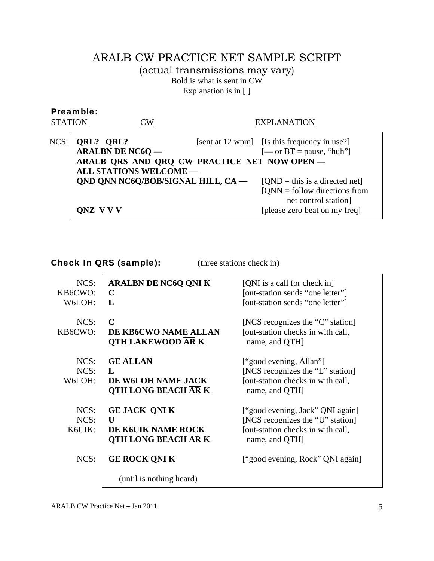# ARALB CW PRACTICE NET SAMPLE SCRIPT (actual transmissions may vary) Bold is what is sent in CW Explanation is in [ ]

| Preamble:<br><b>STATION</b> |                                                                                     | $\mathbb{C}\mathsf{W}$ | EXPLANATION                                                                                                                                                                                                                                                                                                            |
|-----------------------------|-------------------------------------------------------------------------------------|------------------------|------------------------------------------------------------------------------------------------------------------------------------------------------------------------------------------------------------------------------------------------------------------------------------------------------------------------|
| NCS:                        | QRL? QRL?<br><b>ARALBN DE NC6Q —</b><br><b>ALL STATIONS WELCOME --</b><br>ONZ V V V |                        | [sent at 12 wpm] [Is this frequency in use?]<br>$[-\text{or } BT = \text{pause}, \text{``hub''}]$<br>ARALB QRS AND QRQ CW PRACTICE NET NOW OPEN-<br>QND QNN NC6Q/BOB/SIGNAL HILL, CA -<br>$[QND = this is a directed net]$<br>$[QNN =$ follow directions from<br>net control station]<br>[please zero beat on my freq] |

Check In QRS (sample): (three stations check in)

| NCS:<br>KB6CWO:<br>W6LOH: | <b>ARALBN DE NC6Q QNI K</b><br>C<br>L                                                   | [QNI is a call for check in]<br>[out-station sends "one letter"]<br>[out-station sends "one letter"]                        |
|---------------------------|-----------------------------------------------------------------------------------------|-----------------------------------------------------------------------------------------------------------------------------|
| NCS:<br>KB6CWO:           | $\mathbf C$<br>DE KB6CWO NAME ALLAN<br><b>QTH LAKEWOOD ARK</b>                          | [NCS recognizes the "C" station]<br>[out-station checks in with call,<br>name, and QTH]                                     |
| NCS:<br>$NCS$ :<br>W6LOH: | <b>GE ALLAN</b><br>$\mathbf{L}$<br>DE W6LOH NAME JACK<br><b>QTH LONG BEACH ARK</b>      | ["good evening, Allan"]<br>[NCS recognizes the "L" station]<br>[out-station checks in with call,<br>name, and QTH]          |
| NCS:<br>$NCS$ :<br>K6UIK: | <b>GE JACK QNI K</b><br>$\mathbf{U}$<br>DE K6UIK NAME ROCK<br><b>QTH LONG BEACH ARK</b> | ["good evening, Jack" QNI again]<br>[NCS recognizes the "U" station]<br>[out-station checks in with call,<br>name, and QTH] |
| NCS:                      | <b>GE ROCK QNI K</b><br>(until is nothing heard)                                        | ["good evening, Rock" QNI again]                                                                                            |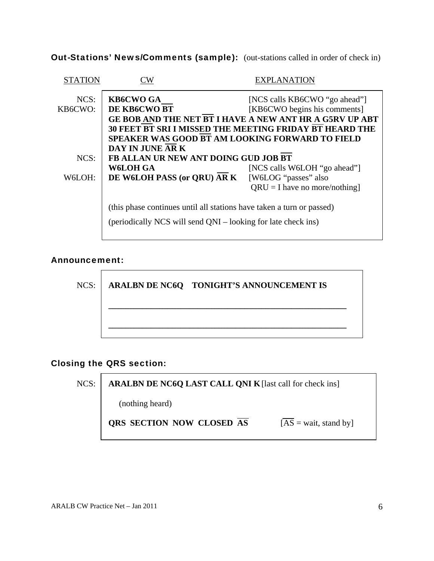Out-Stations' News/Comments (sample): (out-stations called in order of check in)

| W                                                              | EXPLANATION                                                           |  |  |  |
|----------------------------------------------------------------|-----------------------------------------------------------------------|--|--|--|
| <b>KB6CWO GA</b>                                               | [NCS calls KB6CWO "go ahead"]                                         |  |  |  |
| DE KB6CWO BT                                                   | [KB6CWO begins his comments]                                          |  |  |  |
| GE BOB AND THE NET BT I HAVE A NEW ANT HR A G5RV UP ABT        |                                                                       |  |  |  |
| <b>30 FEET BT SRI I MISSED THE MEETING FRIDAY BT HEARD THE</b> |                                                                       |  |  |  |
| <b>SPEAKER WAS GOOD BT AM LOOKING FORWARD TO FIELD</b>         |                                                                       |  |  |  |
| DAY IN JUNE ARK                                                |                                                                       |  |  |  |
| FB ALLAN UR NEW ANT DOING GUD JOB BT                           |                                                                       |  |  |  |
| W6LOH GA                                                       | [NCS calls W6LOH "go ahead"]                                          |  |  |  |
|                                                                | DE W6LOH PASS (or QRU) AR K<br>[W6LOG "passes" also                   |  |  |  |
|                                                                | $QRU = I$ have no more/nothing]                                       |  |  |  |
|                                                                | (this phase continues until all stations have taken a turn or passed) |  |  |  |
| (periodically NCS will send QNI – looking for late check ins)  |                                                                       |  |  |  |
|                                                                |                                                                       |  |  |  |

## Announcement:



NCS: **ARALBN DE NC6Q TONIGHT'S ANNOUNCEMENT IS** 

 **\_\_\_\_\_\_\_\_\_\_\_\_\_\_\_\_\_\_\_\_\_\_\_\_\_\_\_\_\_\_\_\_\_\_\_\_\_\_\_\_\_\_\_\_\_\_\_\_\_\_\_\_\_\_\_\_** 

# Closing the QRS section:

NCS: **ARALBN DE NC6Q LAST CALL QNI K** [last call for check ins]

(nothing heard)

**QRS SECTION NOW CLOSED**  $\overline{AS}$   $[\overline{AS} = \text{wait}, \text{stand by}]$